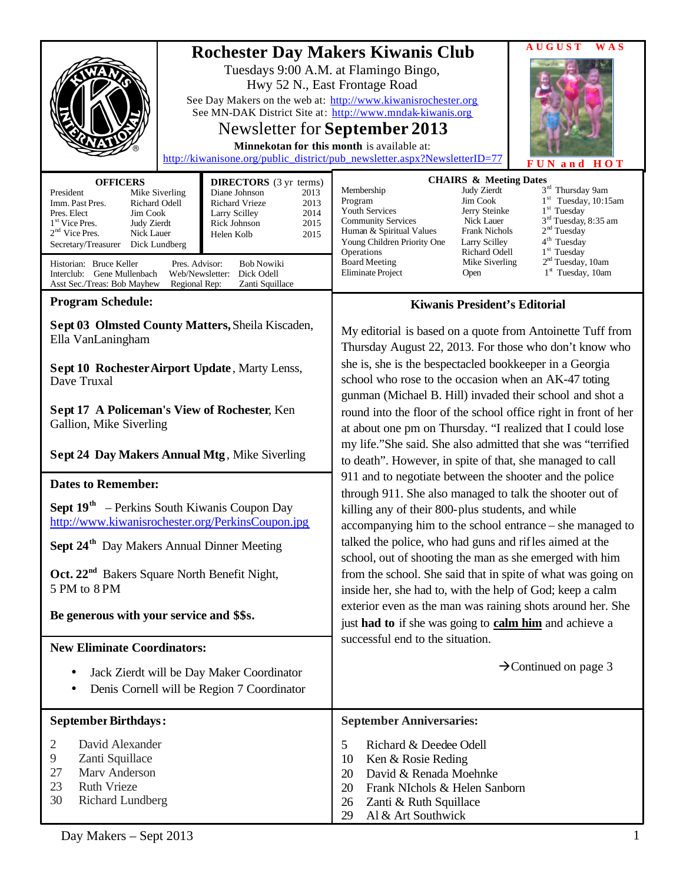| Tuesdays 9:00 A.M. at Flamingo Bingo,<br>Hwy 52 N., East Frontage Road<br>Minnekotan for this month is available at:<br><b>DIRECTORS</b> (3 yr terms)<br><b>OFFICERS</b><br>President<br>Mike Siverling<br>Diane Johnson<br>2013<br>Richard Vrieze<br>2013<br>Imm. Past Pres.<br>Richard Odell<br>Jim Cook<br>2014<br>Pres. Elect<br><b>Larry Scilley</b><br>1 <sup>st</sup> Vice Pres.<br>Judy Zierdt<br>Rick Johnson<br>2015<br>$2nd$ Vice Pres.<br>Nick Lauer<br>Helen Kolb<br>2015<br>Secretary/Treasurer<br>Dick Lundberg<br>Historian: Bruce Keller<br>Pres. Advisor:<br><b>Bob Nowiki</b><br>Dick Odell<br>Interclub: Gene Mullenbach<br>Web/Newsletter: | AUGUST<br><b>Rochester Day Makers Kiwanis Club</b><br>See Day Makers on the web at: http://www.kiwanisrochester.org<br>See MN-DAK District Site at: http://www.mndak-kiwanis.org<br>Newsletter for September 2013<br>http://kiwanisone.org/public_district/pub_newsletter.aspx?NewsletterID=77<br>UN and<br>HOT<br><b>CHAIRS &amp; Meeting Dates</b><br>3 <sup>rd</sup> Thursday 9am<br>Membership<br>Judy Zierdt<br>$1st$ Tuesday, 10:15am<br>Jim Cook<br>Program<br>$1st$ Tuesday<br>Youth Services<br>Jerry Steinke<br>3 <sup>rd</sup> Tuesday, 8:35 am<br><b>Community Services</b><br>Nick Lauer<br>2 <sup>nd</sup> Tuesday<br>Frank Nichols<br>Human & Spiritual Values<br>4 <sup>th</sup> Tuesday<br>Young Children Priority One<br>Larry Scilley<br>1 <sup>st</sup> Tuesday<br>Operations<br>Richard Odell<br>2 <sup>nd</sup> Tuesday, 10am<br><b>Board Meeting</b><br>Mike Siverling<br>$1st$ Tuesday, 10am<br>Eliminate Project<br>Open                                                                                                                                                                                                                                    |
|-----------------------------------------------------------------------------------------------------------------------------------------------------------------------------------------------------------------------------------------------------------------------------------------------------------------------------------------------------------------------------------------------------------------------------------------------------------------------------------------------------------------------------------------------------------------------------------------------------------------------------------------------------------------|--------------------------------------------------------------------------------------------------------------------------------------------------------------------------------------------------------------------------------------------------------------------------------------------------------------------------------------------------------------------------------------------------------------------------------------------------------------------------------------------------------------------------------------------------------------------------------------------------------------------------------------------------------------------------------------------------------------------------------------------------------------------------------------------------------------------------------------------------------------------------------------------------------------------------------------------------------------------------------------------------------------------------------------------------------------------------------------------------------------------------------------------------------------------------------------|
| Asst Sec./Treas: Bob Mayhew<br>Regional Rep:<br>Zanti Squillace<br><b>Program Schedule:</b>                                                                                                                                                                                                                                                                                                                                                                                                                                                                                                                                                                     | <b>Kiwanis President's Editorial</b>                                                                                                                                                                                                                                                                                                                                                                                                                                                                                                                                                                                                                                                                                                                                                                                                                                                                                                                                                                                                                                                                                                                                                 |
| Sept 03 Olmsted County Matters, Sheila Kiscaden,<br>Ella VanLaningham<br>Sept 10 Rochester Airport Update, Marty Lenss,<br>Dave Truxal<br>Sept 17 A Policeman's View of Rochester, Ken<br>Gallion, Mike Siverling<br>Sept 24 Day Makers Annual Mtg, Mike Siverling<br><b>Dates to Remember:</b><br><b>Sept 19th</b> – Perkins South Kiwanis Coupon Day<br>http://www.kiwanisrochester.org/PerkinsCoupon.jpg<br>Sept 24 <sup>th</sup> Day Makers Annual Dinner Meeting<br>Oct. 22 <sup>nd</sup> Bakers Square North Benefit Night,<br>5 PM to 8 PM<br>Be generous with your service and \$\$s.                                                                   | My editorial is based on a quote from Antoinette Tuff from<br>Thursday August 22, 2013. For those who don't know who<br>she is, she is the bespectacled bookkeeper in a Georgia<br>school who rose to the occasion when an AK-47 toting<br>gunman (Michael B. Hill) invaded their school and shot a<br>round into the floor of the school office right in front of her<br>at about one pm on Thursday. "I realized that I could lose<br>my life."She said. She also admitted that she was "terrified<br>to death". However, in spite of that, she managed to call<br>911 and to negotiate between the shooter and the police<br>through 911. She also managed to talk the shooter out of<br>killing any of their 800-plus students, and while<br>accompanying him to the school entrance – she managed to<br>talked the police, who had guns and rifles aimed at the<br>school, out of shooting the man as she emerged with him<br>from the school. She said that in spite of what was going on<br>inside her, she had to, with the help of God; keep a calm<br>exterior even as the man was raining shots around her. She<br>just had to if she was going to calm him and achieve a |
| <b>New Eliminate Coordinators:</b>                                                                                                                                                                                                                                                                                                                                                                                                                                                                                                                                                                                                                              | successful end to the situation.                                                                                                                                                                                                                                                                                                                                                                                                                                                                                                                                                                                                                                                                                                                                                                                                                                                                                                                                                                                                                                                                                                                                                     |
| Jack Zierdt will be Day Maker Coordinator<br>Denis Cornell will be Region 7 Coordinator                                                                                                                                                                                                                                                                                                                                                                                                                                                                                                                                                                         | $\rightarrow$ Continued on page 3                                                                                                                                                                                                                                                                                                                                                                                                                                                                                                                                                                                                                                                                                                                                                                                                                                                                                                                                                                                                                                                                                                                                                    |
| <b>September Birthdays:</b>                                                                                                                                                                                                                                                                                                                                                                                                                                                                                                                                                                                                                                     | <b>September Anniversaries:</b>                                                                                                                                                                                                                                                                                                                                                                                                                                                                                                                                                                                                                                                                                                                                                                                                                                                                                                                                                                                                                                                                                                                                                      |
| David Alexander<br>2<br>9<br>Zanti Squillace<br>Marv Anderson<br>27<br>23<br><b>Ruth Vrieze</b><br>30<br><b>Richard Lundberg</b>                                                                                                                                                                                                                                                                                                                                                                                                                                                                                                                                | Richard & Deedee Odell<br>5<br>Ken & Rosie Reding<br>10<br>David & Renada Moehnke<br>20<br>Frank NIchols & Helen Sanborn<br>20<br>Zanti & Ruth Squillace<br>26<br>29<br>Al & Art Southwick                                                                                                                                                                                                                                                                                                                                                                                                                                                                                                                                                                                                                                                                                                                                                                                                                                                                                                                                                                                           |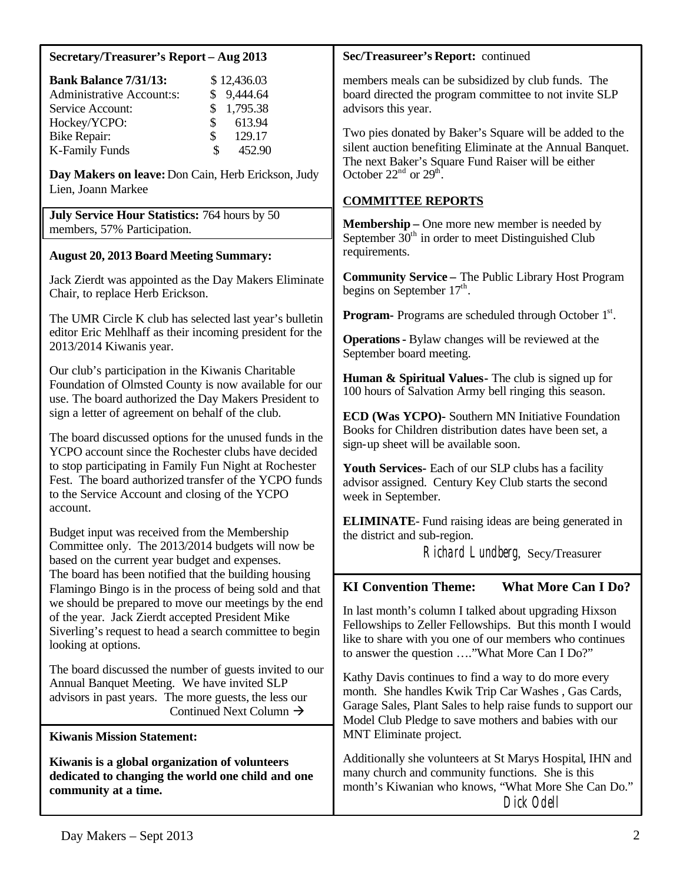| Secretary/Treasurer's Report - Aug 2013                                                                                                                                                                                                                                                                                                                                                                                                                                             | Sec/Treasureer's Report: continued                                                                                                                                                                                                                           |
|-------------------------------------------------------------------------------------------------------------------------------------------------------------------------------------------------------------------------------------------------------------------------------------------------------------------------------------------------------------------------------------------------------------------------------------------------------------------------------------|--------------------------------------------------------------------------------------------------------------------------------------------------------------------------------------------------------------------------------------------------------------|
| <b>Bank Balance 7/31/13:</b><br>\$12,436.03<br><b>Administrative Account:s:</b><br>9,444.64<br>\$<br>1,795.38<br>Service Account:<br>\$<br>\$<br>613.94<br>Hockey/YCPO:<br>\$<br>129.17<br><b>Bike Repair:</b><br>\$<br><b>K-Family Funds</b><br>452.90                                                                                                                                                                                                                             | members meals can be subsidized by club funds. The<br>board directed the program committee to not invite SLP<br>advisors this year.<br>Two pies donated by Baker's Square will be added to the<br>silent auction benefiting Eliminate at the Annual Banquet. |
| Day Makers on leave: Don Cain, Herb Erickson, Judy<br>Lien, Joann Markee                                                                                                                                                                                                                                                                                                                                                                                                            | The next Baker's Square Fund Raiser will be either<br>October $22nd$ or $29th$ .<br><b>COMMITTEE REPORTS</b>                                                                                                                                                 |
| July Service Hour Statistics: 764 hours by 50<br>members, 57% Participation.                                                                                                                                                                                                                                                                                                                                                                                                        | <b>Membership</b> – One more new member is needed by                                                                                                                                                                                                         |
| <b>August 20, 2013 Board Meeting Summary:</b>                                                                                                                                                                                                                                                                                                                                                                                                                                       | September $30th$ in order to meet Distinguished Club<br>requirements.                                                                                                                                                                                        |
| Jack Zierdt was appointed as the Day Makers Eliminate<br>Chair, to replace Herb Erickson.                                                                                                                                                                                                                                                                                                                                                                                           | <b>Community Service - The Public Library Host Program</b><br>begins on September $17th$ .                                                                                                                                                                   |
| The UMR Circle K club has selected last year's bulletin                                                                                                                                                                                                                                                                                                                                                                                                                             | <b>Program-</b> Programs are scheduled through October 1 <sup>st</sup> .                                                                                                                                                                                     |
| editor Eric Mehlhaff as their incoming president for the<br>2013/2014 Kiwanis year.                                                                                                                                                                                                                                                                                                                                                                                                 | Operations - Bylaw changes will be reviewed at the<br>September board meeting.                                                                                                                                                                               |
| Our club's participation in the Kiwanis Charitable<br>Foundation of Olmsted County is now available for our<br>use. The board authorized the Day Makers President to                                                                                                                                                                                                                                                                                                                | <b>Human &amp; Spiritual Values</b> - The club is signed up for<br>100 hours of Salvation Army bell ringing this season.                                                                                                                                     |
| sign a letter of agreement on behalf of the club.<br>The board discussed options for the unused funds in the<br>YCPO account since the Rochester clubs have decided                                                                                                                                                                                                                                                                                                                 | ECD (Was YCPO)- Southern MN Initiative Foundation<br>Books for Children distribution dates have been set, a<br>sign-up sheet will be available soon.                                                                                                         |
| to stop participating in Family Fun Night at Rochester<br>Fest. The board authorized transfer of the YCPO funds<br>to the Service Account and closing of the YCPO                                                                                                                                                                                                                                                                                                                   | <b>Youth Services-</b> Each of our SLP clubs has a facility<br>advisor assigned. Century Key Club starts the second<br>week in September.                                                                                                                    |
| account.<br>Budget input was received from the Membership<br>Committee only. The 2013/2014 budgets will now be<br>based on the current year budget and expenses.<br>The board has been notified that the building housing<br>Flamingo Bingo is in the process of being sold and that<br>we should be prepared to move our meetings by the end<br>of the year. Jack Zierdt accepted President Mike<br>Siverling's request to head a search committee to begin<br>looking at options. | <b>ELIMINATE</b> -Fund raising ideas are being generated in<br>the district and sub-region.<br>Richard Lundberg, Secy/Treasurer                                                                                                                              |
|                                                                                                                                                                                                                                                                                                                                                                                                                                                                                     | <b>KI Convention Theme:</b><br><b>What More Can I Do?</b>                                                                                                                                                                                                    |
|                                                                                                                                                                                                                                                                                                                                                                                                                                                                                     | In last month's column I talked about upgrading Hixson<br>Fellowships to Zeller Fellowships. But this month I would<br>like to share with you one of our members who continues<br>to answer the question "What More Can I Do?"                               |
| The board discussed the number of guests invited to our<br>Annual Banquet Meeting. We have invited SLP<br>advisors in past years. The more guests, the less our<br>Continued Next Column $\rightarrow$                                                                                                                                                                                                                                                                              | Kathy Davis continues to find a way to do more every<br>month. She handles Kwik Trip Car Washes, Gas Cards,<br>Garage Sales, Plant Sales to help raise funds to support our<br>Model Club Pledge to save mothers and babies with our                         |
| <b>Kiwanis Mission Statement:</b>                                                                                                                                                                                                                                                                                                                                                                                                                                                   | MNT Eliminate project.                                                                                                                                                                                                                                       |
| Kiwanis is a global organization of volunteers<br>dedicated to changing the world one child and one<br>community at a time.                                                                                                                                                                                                                                                                                                                                                         | Additionally she volunteers at St Marys Hospital, IHN and<br>many church and community functions. She is this<br>month's Kiwanian who knows, "What More She Can Do."<br>Dick Odell                                                                           |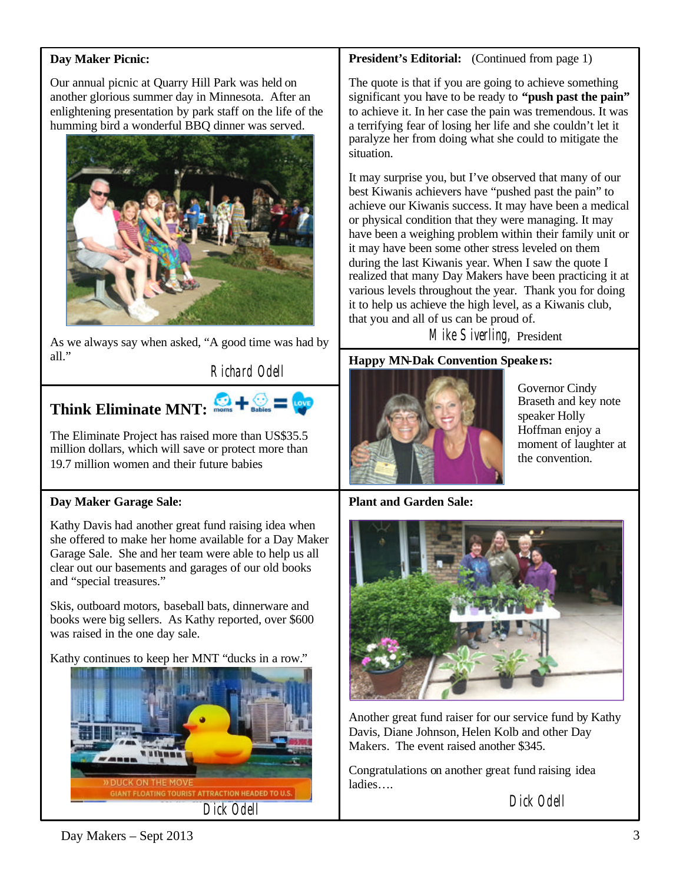# **Day Maker Picnic:**

Our annual picnic at Quarry Hill Park was held on another glorious summer day in Minnesota. After an enlightening presentation by park staff on the life of the humming bird a wonderful BBQ dinner was served.



As we always say when asked, "A good time was had by all."

Richard Odell



The Eliminate Project has raised more than US\$35.5 million dollars, which will save or protect more than 19.7 million women and their future babies

# **Day Maker Garage Sale:**

Kathy Davis had another great fund raising idea when she offered to make her home available for a Day Maker Garage Sale. She and her team were able to help us all clear out our basements and garages of our old books and "special treasures."

Skis, outboard motors, baseball bats, dinnerware and books were big sellers. As Kathy reported, over \$600 was raised in the one day sale.

Kathy continues to keep her MNT "ducks in a row."



## **President's Editorial:** (Continued from page 1)

The quote is that if you are going to achieve something significant you have to be ready to **"push past the pain"** to achieve it. In her case the pain was tremendous. It was a terrifying fear of losing her life and she couldn't let it paralyze her from doing what she could to mitigate the situation.

It may surprise you, but I've observed that many of our best Kiwanis achievers have "pushed past the pain" to achieve our Kiwanis success. It may have been a medical or physical condition that they were managing. It may have been a weighing problem within their family unit or it may have been some other stress leveled on them during the last Kiwanis year. When I saw the quote I realized that many Day Makers have been practicing it at various levels throughout the year. Thank you for doing it to help us achieve the high level, as a Kiwanis club, that you and all of us can be proud of.

Mike Siverling, President

# **Happy MN-Dak Convention Speake rs:**



Governor Cindy Braseth and key note speaker Holly Hoffman enjoy a moment of laughter at the convention.

# **Plant and Garden Sale:**



Another great fund raiser for our service fund by Kathy Davis, Diane Johnson, Helen Kolb and other Day Makers. The event raised another \$345.

Congratulations on another great fund raising idea ladies….

Dick Odell

 $Day \text{ Makers} - \text{Sept } 2013$  3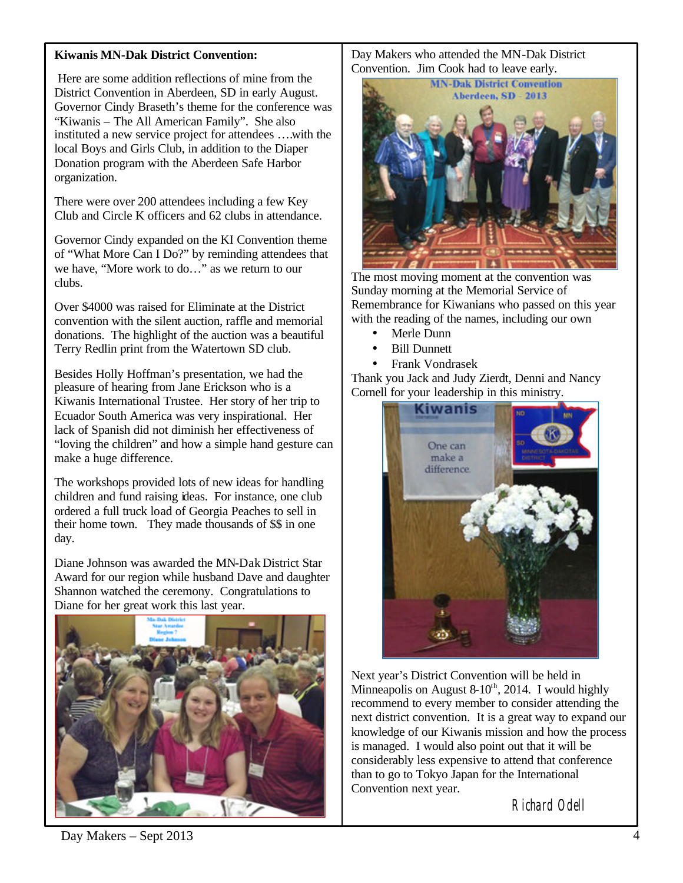## **Kiwanis MN-Dak District Convention:**

Here are some addition reflections of mine from the District Convention in Aberdeen, SD in early August. Governor Cindy Braseth's theme for the conference was "Kiwanis – The All American Family". She also instituted a new service project for attendees ….with the local Boys and Girls Club, in addition to the Diaper Donation program with the Aberdeen Safe Harbor organization.

There were over 200 attendees including a few Key Club and Circle K officers and 62 clubs in attendance.

Governor Cindy expanded on the KI Convention theme of "What More Can I Do?" by reminding attendees that we have, "More work to do…" as we return to our clubs.

Over \$4000 was raised for Eliminate at the District convention with the silent auction, raffle and memorial donations. The highlight of the auction was a beautiful Terry Redlin print from the Watertown SD club.

Besides Holly Hoffman's presentation, we had the pleasure of hearing from Jane Erickson who is a Kiwanis International Trustee. Her story of her trip to Ecuador South America was very inspirational. Her lack of Spanish did not diminish her effectiveness of "loving the children" and how a simple hand gesture can make a huge difference.

The workshops provided lots of new ideas for handling children and fund raising ideas. For instance, one club ordered a full truck load of Georgia Peaches to sell in their home town. They made thousands of \$\$ in one day.

Diane Johnson was awarded the MN-Dak District Star Award for our region while husband Dave and daughter Shannon watched the ceremony. Congratulations to Diane for her great work this last year.



Day Makers who attended the MN-Dak District Convention. Jim Cook had to leave early.



The most moving moment at the convention was Sunday morning at the Memorial Service of Remembrance for Kiwanians who passed on this year with the reading of the names, including our own

- Merle Dunn
- Bill Dunnett
- Frank Vondrasek

Thank you Jack and Judy Zierdt, Denni and Nancy Cornell for your leadership in this ministry.



Next year's District Convention will be held in Minneapolis on August 8- $10^{th}$ , 2014. I would highly recommend to every member to consider attending the next district convention. It is a great way to expand our knowledge of our Kiwanis mission and how the process is managed. I would also point out that it will be considerably less expensive to attend that conference than to go to Tokyo Japan for the International Convention next year.

Richard Odell

Day Makers – Sept 2013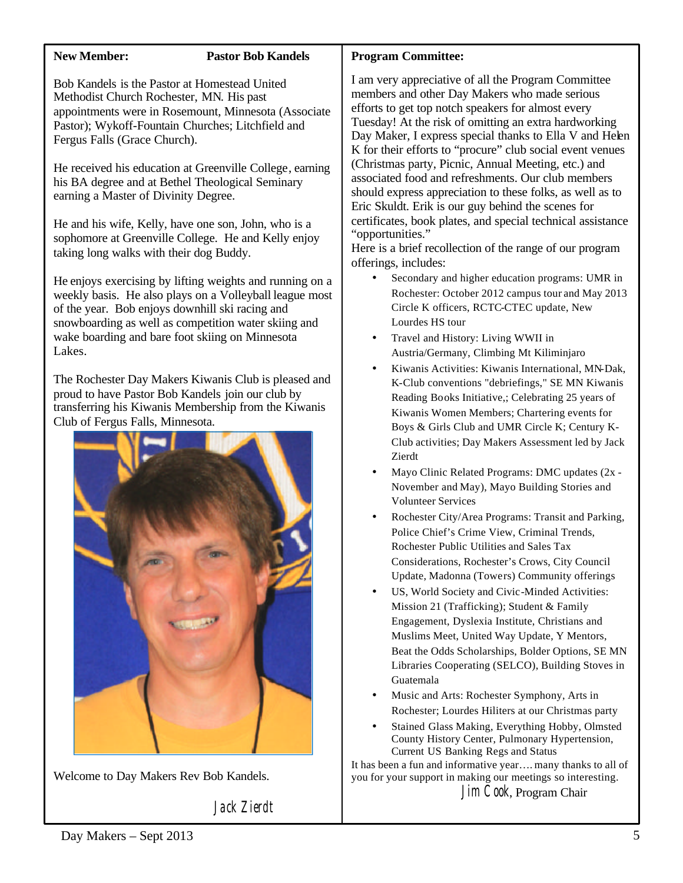# **New Member: Pastor Bob Kandels**

Bob Kandels is the Pastor at Homestead United Methodist Church Rochester, MN. His past appointments were in Rosemount, Minnesota (Associate Pastor); Wykoff-Fountain Churches; Litchfield and Fergus Falls (Grace Church).

He received his education at Greenville College, earning his BA degree and at Bethel Theological Seminary earning a Master of Divinity Degree.

He and his wife, Kelly, have one son, John, who is a sophomore at Greenville College. He and Kelly enjoy taking long walks with their dog Buddy.

He enjoys exercising by lifting weights and running on a weekly basis. He also plays on a Volleyball league most of the year. Bob enjoys downhill ski racing and snowboarding as well as competition water skiing and wake boarding and bare foot skiing on Minnesota Lakes.

The Rochester Day Makers Kiwanis Club is pleased and proud to have Pastor Bob Kandels join our club by transferring his Kiwanis Membership from the Kiwanis Club of Fergus Falls, Minnesota.



Welcome to Day Makers Rev Bob Kandels.

Jack Zierdt

# **Program Committee:**

I am very appreciative of all the Program Committee members and other Day Makers who made serious efforts to get top notch speakers for almost every Tuesday! At the risk of omitting an extra hardworking Day Maker, I express special thanks to Ella V and Helen K for their efforts to "procure" club social event venues (Christmas party, Picnic, Annual Meeting, etc.) and associated food and refreshments. Our club members should express appreciation to these folks, as well as to Eric Skuldt. Erik is our guy behind the scenes for certificates, book plates, and special technical assistance "opportunities."

Here is a brief recollection of the range of our program offerings, includes:

- Secondary and higher education programs: UMR in Rochester: October 2012 campus tour and May 2013 Circle K officers, RCTC-CTEC update, New Lourdes HS tour
- Travel and History: Living WWII in Austria/Germany, Climbing Mt Kiliminjaro
- Kiwanis Activities: Kiwanis International, MN-Dak, K-Club conventions "debriefings," SE MN Kiwanis Reading Books Initiative,; Celebrating 25 years of Kiwanis Women Members; Chartering events for Boys & Girls Club and UMR Circle K; Century K-Club activities; Day Makers Assessment led by Jack Zierdt
- Mayo Clinic Related Programs: DMC updates (2x November and May), Mayo Building Stories and Volunteer Services
- Rochester City/Area Programs: Transit and Parking, Police Chief's Crime View, Criminal Trends, Rochester Public Utilities and Sales Tax Considerations, Rochester's Crows, City Council Update, Madonna (Towers) Community offerings
- US, World Society and Civic-Minded Activities: Mission 21 (Trafficking); Student & Family Engagement, Dyslexia Institute, Christians and Muslims Meet, United Way Update, Y Mentors, Beat the Odds Scholarships, Bolder Options, SE MN Libraries Cooperating (SELCO), Building Stoves in Guatemala
- Music and Arts: Rochester Symphony, Arts in Rochester; Lourdes Hiliters at our Christmas party
- Stained Glass Making, Everything Hobby, Olmsted County History Center, Pulmonary Hypertension, Current US Banking Regs and Status

It has been a fun and informative year…. many thanks to all of you for your support in making our meetings so interesting. Jim Cook, Program Chair

Day Makers – Sept 2013 5